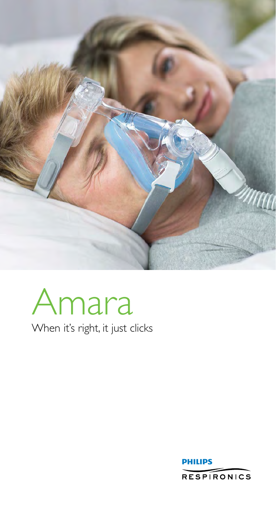

Amara

When it's right, it just clicks

**PHILIPS** 

RESPIRONICS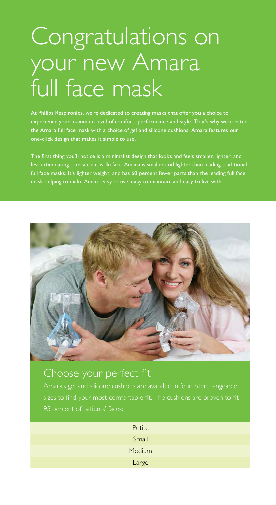# Congratulations on your new Amara full face mask

At Philips Respironics, we're dedicated to creating masks that offer you a choice to experience your maximum level of comfort, performance and style. That's why we created the Amara full face mask with a choice of gel and silicone cushions. Amara features our one-click design that makes it simple to use.

The first thing you'll notice is a minimalist design that looks and feels smaller, lighter, and less intimidating…because it is. In fact, Amara is smaller and lighter than leading traditional full face masks. It's lighter weight, and has 60 percent fewer parts than the leading full face mask helping to make Amara easy to use, easy to maintain, and easy to live with.



## Choose your perfect fit

Amara's gel and silicone cushions are available in four interchangeable sizes to find your most comfortable fit. The cushions are proven to fit 95 percent of patients' faces: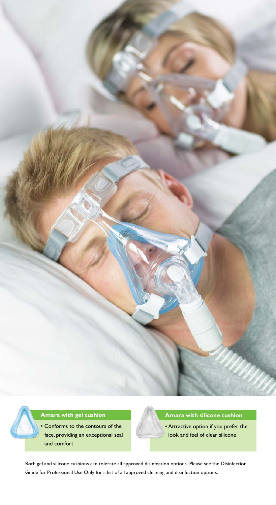

## **Amara with gel cushion**

• Conforms to the contours of the face, providing an exceptional seal and comfort

## **Amara with silicone cushion**

• Attractive option if you prefer the look and feel of clear silicone

Both gel and silicone cushions can tolerate all approved disinfection options. Please see the Disinfection Guide for Professional Use Only for a list of all approved cleaning and disinfection options.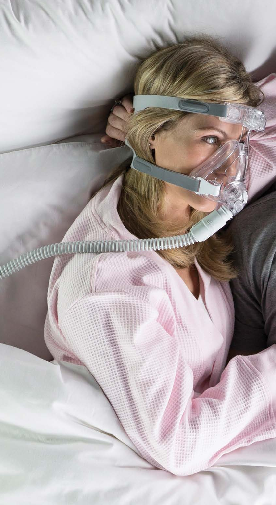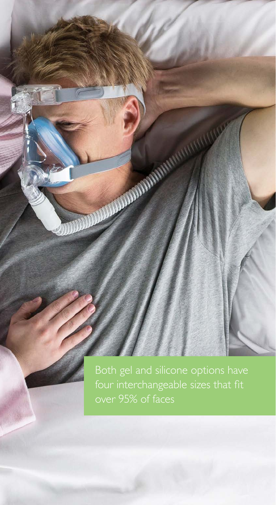Both gel and silicone options have four interchangeable sizes that fit over 95% of faces

**MARITALISM**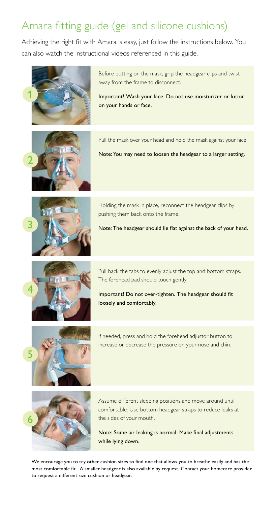## Amara fitting guide (gel and silicone cushions)

Achieving the right fit with Amara is easy, just follow the instructions below. You can also watch the instructional videos referenced in this guide.

> Before putting on the mask, grip the headgear clips and twist away from the frame to disconnect.

Important! Wash your face. Do not use moisturizer or lotion on your hands or face.

Pull the mask over your head and hold the mask against your face.

Note: You may need to loosen the headgear to a larger setting.



2

Holding the mask in place, reconnect the headgear clips by pushing them back onto the frame.

Note: The headgear should lie flat against the back of your head.



Pull back the tabs to evenly adjust the top and bottom straps. The forehead pad should touch gently.

Important! Do not over-tighten. The headgear should fit loosely and comfortably.



If needed, press and hold the forehead adjustor button to increase or decrease the pressure on your nose and chin.



Assume different sleeping positions and move around until comfortable. Use bottom headgear straps to reduce leaks at the sides of your mouth.

Note: Some air leaking is normal. Make final adjustments while lying down.

We encourage you to try other cushion sizes to find one that allows you to breathe easily and has the most comfortable fit. A smaller headgear is also available by request. Contact your homecare provider to request a different size cushion or headgear.

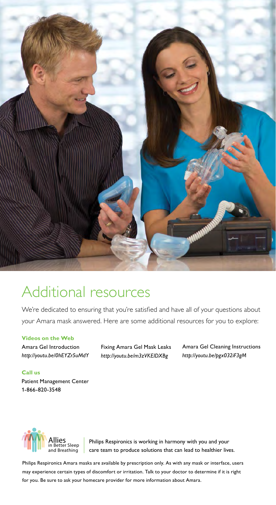

## Additional resources

We're dedicated to ensuring that you're satisfied and have all of your questions about your Amara mask answered. Here are some additional resources for you to explore:

#### **Videos on the Web**

Amara Gel Introduction *http://youtu.be/0hEYZr5uMdY*

Fixing Amara Gel Mask Leaks *http://youtu.be/m3zVKElDXBg*

Amara Gel Cleaning Instructions *http://youtu.be/pgx032iF3gM*

**Call us** Patient Management Center 1-866-820-3548



Philips Respironics is working in harmony with you and your care team to produce solutions that can lead to healthier lives.

Philips Respironics Amara masks are available by prescription only. As with any mask or interface, users may experience certain types of discomfort or irritation. Talk to your doctor to determine if it is right for you. Be sure to ask your homecare provider for more information about Amara.